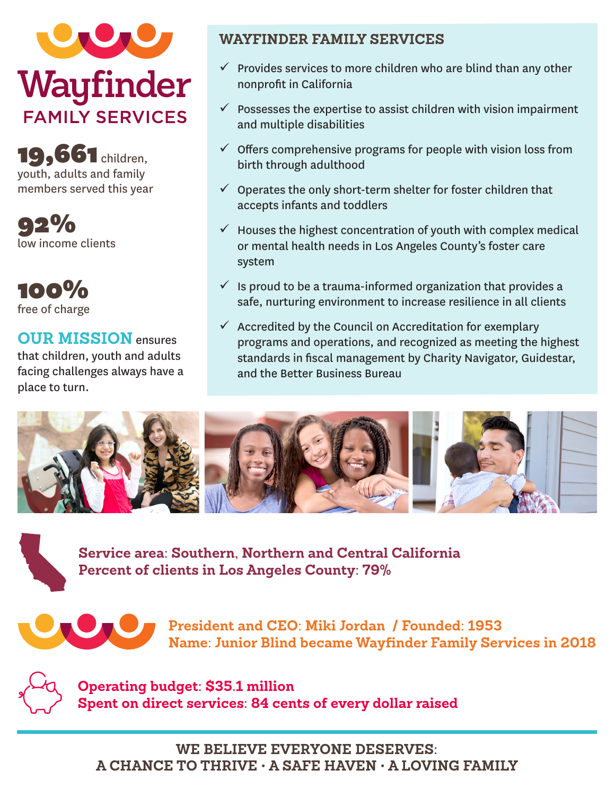

**19,661** children, youth, adults and family members served this year

92% low income clients

100% free of charge

# **OUR MISSION** ensures

that children, youth and adults facing challenges always have a place to turn.

### **WAYFINDER FAMILY SERVICES**

- $\checkmark$  Provides services to more children who are blind than any other nonprofit in California
- $\checkmark$  Possesses the expertise to assist children with vision impairment and multiple disabilities
- $\checkmark$  Offers comprehensive programs for people with vision loss from birth through adulthood
- $\checkmark$  Operates the only short-term shelter for foster children that accepts infants and toddlers
- $\checkmark$  Houses the highest concentration of youth with complex medical or mental health needs in Los Angeles County's foster care system
- $\checkmark$  is proud to be a trauma-informed organization that provides a safe, nurturing environment to increase resilience in all clients
- $\checkmark$  Accredited by the Council on Accreditation for exemplary programs and operations, and recognized as meeting the highest standards in fiscal management by Charity Navigator, Guidestar, and the Better Business Bureau



**Service area: Southern, Northern and Central California Percent of clients in Los Angeles County: 79%**



**President and CEO: Miki Jordan / Founded: 1953 Name: Junior Blind became Wayfinder Family Services in 2018**



**Operating budget: \$35.1 million Spent on direct services: 84 cents of every dollar raised**

**WE BELIEVE EVERYONE DESERVES: A CHANCE TO THRIVE • A SAFE HAVEN • A LOVING FAMILY**